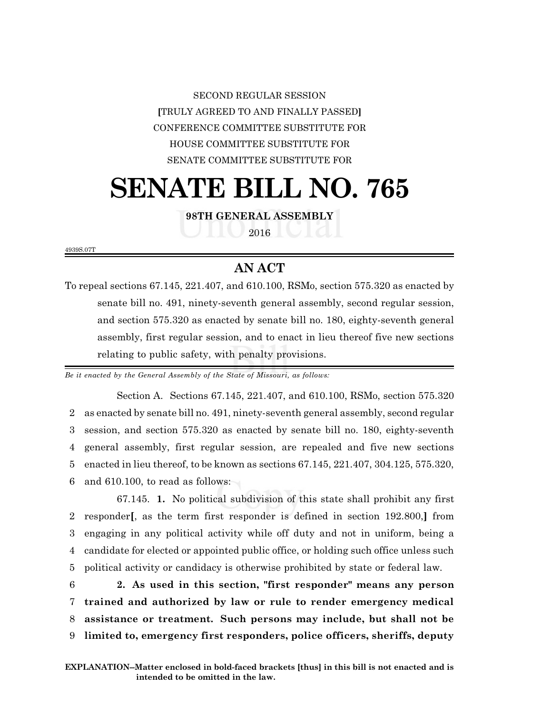SECOND REGULAR SESSION **[**TRULY AGREED TO AND FINALLY PASSED**]** CONFERENCE COMMITTEE SUBSTITUTE FOR HOUSE COMMITTEE SUBSTITUTE FOR SENATE COMMITTEE SUBSTITUTE FOR

# **SENATE BILL NO. 765**

**98TH GENERAL ASSEMBLY**

2016

4939S.07T

# **AN ACT**

To repeal sections 67.145, 221.407, and 610.100, RSMo, section 575.320 as enacted by senate bill no. 491, ninety-seventh general assembly, second regular session, and section 575.320 as enacted by senate bill no. 180, eighty-seventh general assembly, first regular session, and to enact in lieu thereof five new sections relating to public safety, with penalty provisions.

*Be it enacted by the General Assembly of the State of Missouri, as follows:*

Section A. Sections 67.145, 221.407, and 610.100, RSMo, section 575.320 as enacted by senate bill no. 491, ninety-seventh general assembly, second regular session, and section 575.320 as enacted by senate bill no. 180, eighty-seventh general assembly, first regular session, are repealed and five new sections enacted in lieu thereof, to be known as sections 67.145, 221.407, 304.125, 575.320, and 610.100, to read as follows:

67.145. **1.** No political subdivision of this state shall prohibit any first responder**[**, as the term first responder is defined in section 192.800,**]** from engaging in any political activity while off duty and not in uniform, being a candidate for elected or appointed public office, or holding such office unless such political activity or candidacy is otherwise prohibited by state or federal law.

 **2. As used in this section, "first responder" means any person trained and authorized by law or rule to render emergency medical assistance or treatment. Such persons may include, but shall not be limited to, emergency first responders, police officers, sheriffs, deputy**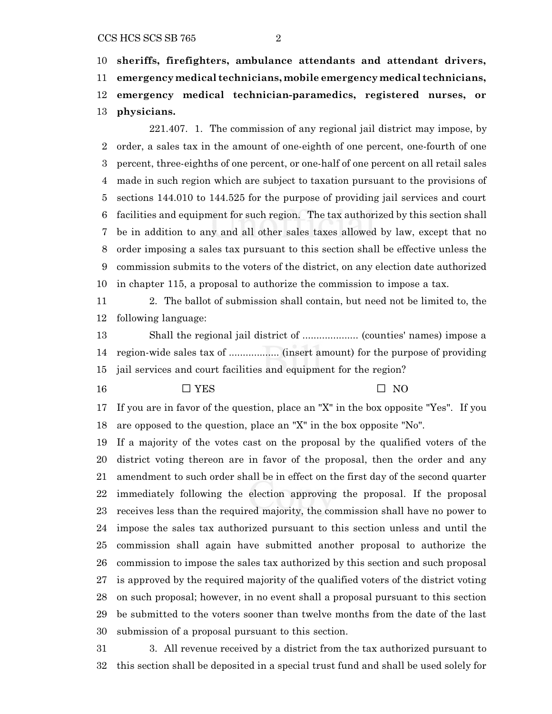### CCS HCS SCS SB 765 2

 **sheriffs, firefighters, ambulance attendants and attendant drivers, emergency medical technicians, mobile emergency medical technicians, emergency medical technician-paramedics, registered nurses, or physicians.**

221.407. 1. The commission of any regional jail district may impose, by order, a sales tax in the amount of one-eighth of one percent, one-fourth of one percent, three-eighths of one percent, or one-half of one percent on all retail sales made in such region which are subject to taxation pursuant to the provisions of sections 144.010 to 144.525 for the purpose of providing jail services and court facilities and equipment for such region. The tax authorized by this section shall be in addition to any and all other sales taxes allowed by law, except that no order imposing a sales tax pursuant to this section shall be effective unless the commission submits to the voters of the district, on any election date authorized in chapter 115, a proposal to authorize the commission to impose a tax.

 2. The ballot of submission shall contain, but need not be limited to, the following language:

 Shall the regional jail district of .................... (counties' names) impose a region-wide sales tax of .................. (insert amount) for the purpose of providing jail services and court facilities and equipment for the region?

## $\Box$  YES  $\Box$  NO

 If you are in favor of the question, place an "X" in the box opposite "Yes". If you are opposed to the question, place an "X" in the box opposite "No".

 If a majority of the votes cast on the proposal by the qualified voters of the district voting thereon are in favor of the proposal, then the order and any amendment to such order shall be in effect on the first day of the second quarter immediately following the election approving the proposal. If the proposal receives less than the required majority, the commission shall have no power to impose the sales tax authorized pursuant to this section unless and until the commission shall again have submitted another proposal to authorize the commission to impose the sales tax authorized by this section and such proposal is approved by the required majority of the qualified voters of the district voting on such proposal; however, in no event shall a proposal pursuant to this section be submitted to the voters sooner than twelve months from the date of the last submission of a proposal pursuant to this section.

 3. All revenue received by a district from the tax authorized pursuant to this section shall be deposited in a special trust fund and shall be used solely for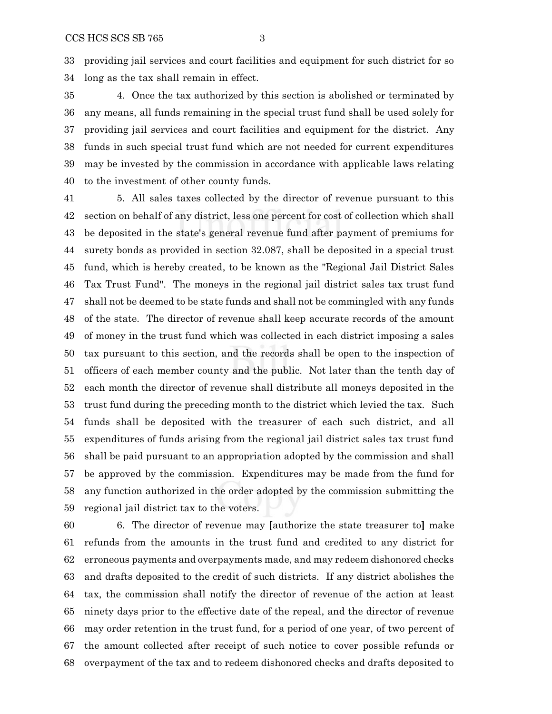providing jail services and court facilities and equipment for such district for so long as the tax shall remain in effect.

 4. Once the tax authorized by this section is abolished or terminated by any means, all funds remaining in the special trust fund shall be used solely for providing jail services and court facilities and equipment for the district. Any funds in such special trust fund which are not needed for current expenditures may be invested by the commission in accordance with applicable laws relating to the investment of other county funds.

 5. All sales taxes collected by the director of revenue pursuant to this section on behalf of any district, less one percent for cost of collection which shall be deposited in the state's general revenue fund after payment of premiums for surety bonds as provided in section 32.087, shall be deposited in a special trust fund, which is hereby created, to be known as the "Regional Jail District Sales Tax Trust Fund". The moneys in the regional jail district sales tax trust fund shall not be deemed to be state funds and shall not be commingled with any funds of the state. The director of revenue shall keep accurate records of the amount of money in the trust fund which was collected in each district imposing a sales tax pursuant to this section, and the records shall be open to the inspection of officers of each member county and the public. Not later than the tenth day of each month the director of revenue shall distribute all moneys deposited in the trust fund during the preceding month to the district which levied the tax. Such funds shall be deposited with the treasurer of each such district, and all expenditures of funds arising from the regional jail district sales tax trust fund shall be paid pursuant to an appropriation adopted by the commission and shall be approved by the commission. Expenditures may be made from the fund for any function authorized in the order adopted by the commission submitting the regional jail district tax to the voters.

 6. The director of revenue may **[**authorize the state treasurer to**]** make refunds from the amounts in the trust fund and credited to any district for erroneous payments and overpayments made, and may redeem dishonored checks and drafts deposited to the credit of such districts. If any district abolishes the tax, the commission shall notify the director of revenue of the action at least ninety days prior to the effective date of the repeal, and the director of revenue may order retention in the trust fund, for a period of one year, of two percent of the amount collected after receipt of such notice to cover possible refunds or overpayment of the tax and to redeem dishonored checks and drafts deposited to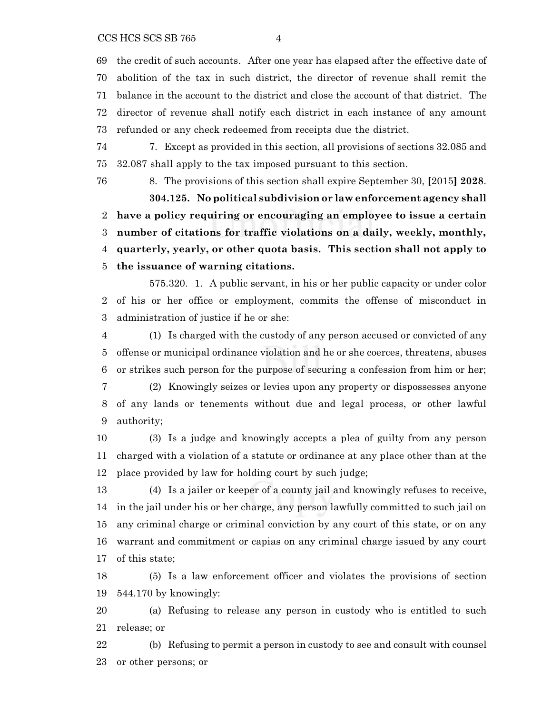the credit of such accounts. After one year has elapsed after the effective date of abolition of the tax in such district, the director of revenue shall remit the balance in the account to the district and close the account of that district. The director of revenue shall notify each district in each instance of any amount refunded or any check redeemed from receipts due the district.

 7. Except as provided in this section, all provisions of sections 32.085 and 32.087 shall apply to the tax imposed pursuant to this section.

 8. The provisions of this section shall expire September 30, **[**2015**] 2028**. **304.125. No political subdivision or law enforcement agency shall have a policy requiring or encouraging an employee to issue a certain number of citations for traffic violations on a daily, weekly, monthly, quarterly, yearly, or other quota basis. This section shall not apply to the issuance of warning citations.**

575.320. 1. A public servant, in his or her public capacity or under color of his or her office or employment, commits the offense of misconduct in administration of justice if he or she:

 (1) Is charged with the custody of any person accused or convicted of any offense or municipal ordinance violation and he or she coerces, threatens, abuses or strikes such person for the purpose of securing a confession from him or her; (2) Knowingly seizes or levies upon any property or dispossesses anyone

 of any lands or tenements without due and legal process, or other lawful authority;

 (3) Is a judge and knowingly accepts a plea of guilty from any person charged with a violation of a statute or ordinance at any place other than at the place provided by law for holding court by such judge;

 (4) Is a jailer or keeper of a county jail and knowingly refuses to receive, in the jail under his or her charge, any person lawfully committed to such jail on any criminal charge or criminal conviction by any court of this state, or on any warrant and commitment or capias on any criminal charge issued by any court of this state;

 (5) Is a law enforcement officer and violates the provisions of section 544.170 by knowingly:

 (a) Refusing to release any person in custody who is entitled to such release; or

 (b) Refusing to permit a person in custody to see and consult with counsel or other persons; or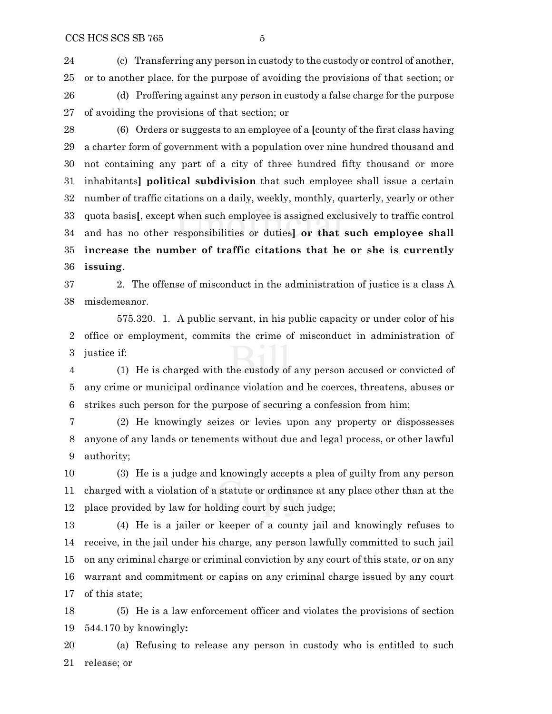(c) Transferring any person in custody to the custody or control of another, or to another place, for the purpose of avoiding the provisions of that section; or (d) Proffering against any person in custody a false charge for the purpose of avoiding the provisions of that section; or

 (6) Orders or suggests to an employee of a **[**county of the first class having a charter form of government with a population over nine hundred thousand and not containing any part of a city of three hundred fifty thousand or more inhabitants**] political subdivision** that such employee shall issue a certain number of traffic citations on a daily, weekly, monthly, quarterly, yearly or other quota basis**[**, except when such employee is assigned exclusively to traffic control and has no other responsibilities or duties**] or that such employee shall increase the number of traffic citations that he or she is currently issuing**.

 2. The offense of misconduct in the administration of justice is a class A misdemeanor.

575.320. 1. A public servant, in his public capacity or under color of his office or employment, commits the crime of misconduct in administration of justice if:

 (1) He is charged with the custody of any person accused or convicted of any crime or municipal ordinance violation and he coerces, threatens, abuses or strikes such person for the purpose of securing a confession from him;

 (2) He knowingly seizes or levies upon any property or dispossesses anyone of any lands or tenements without due and legal process, or other lawful authority;

 (3) He is a judge and knowingly accepts a plea of guilty from any person charged with a violation of a statute or ordinance at any place other than at the place provided by law for holding court by such judge;

 (4) He is a jailer or keeper of a county jail and knowingly refuses to receive, in the jail under his charge, any person lawfully committed to such jail on any criminal charge or criminal conviction by any court of this state, or on any warrant and commitment or capias on any criminal charge issued by any court of this state;

 (5) He is a law enforcement officer and violates the provisions of section 544.170 by knowingly**:**

 (a) Refusing to release any person in custody who is entitled to such release; or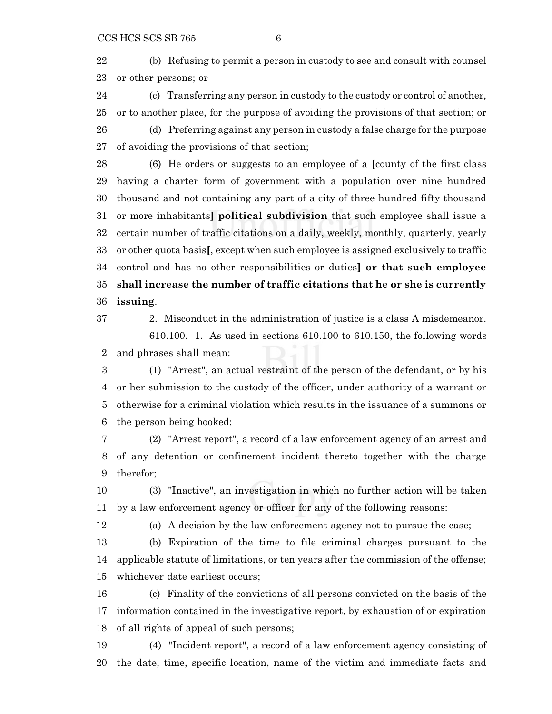(b) Refusing to permit a person in custody to see and consult with counsel or other persons; or

 (c) Transferring any person in custody to the custody or control of another, or to another place, for the purpose of avoiding the provisions of that section; or

 (d) Preferring against any person in custody a false charge for the purpose of avoiding the provisions of that section;

 (6) He orders or suggests to an employee of a **[**county of the first class having a charter form of government with a population over nine hundred thousand and not containing any part of a city of three hundred fifty thousand or more inhabitants**] political subdivision** that such employee shall issue a certain number of traffic citations on a daily, weekly, monthly, quarterly, yearly or other quota basis**[**, except when such employee is assigned exclusively to traffic control and has no other responsibilities or duties**] or that such employee shall increase the number of traffic citations that he or she is currently issuing**.

 2. Misconduct in the administration of justice is a class A misdemeanor. 610.100. 1. As used in sections 610.100 to 610.150, the following words and phrases shall mean:

 (1) "Arrest", an actual restraint of the person of the defendant, or by his or her submission to the custody of the officer, under authority of a warrant or otherwise for a criminal violation which results in the issuance of a summons or the person being booked;

 (2) "Arrest report", a record of a law enforcement agency of an arrest and of any detention or confinement incident thereto together with the charge therefor;

 (3) "Inactive", an investigation in which no further action will be taken by a law enforcement agency or officer for any of the following reasons:

(a) A decision by the law enforcement agency not to pursue the case;

 (b) Expiration of the time to file criminal charges pursuant to the applicable statute of limitations, or ten years after the commission of the offense; whichever date earliest occurs;

 (c) Finality of the convictions of all persons convicted on the basis of the information contained in the investigative report, by exhaustion of or expiration of all rights of appeal of such persons;

 (4) "Incident report", a record of a law enforcement agency consisting of the date, time, specific location, name of the victim and immediate facts and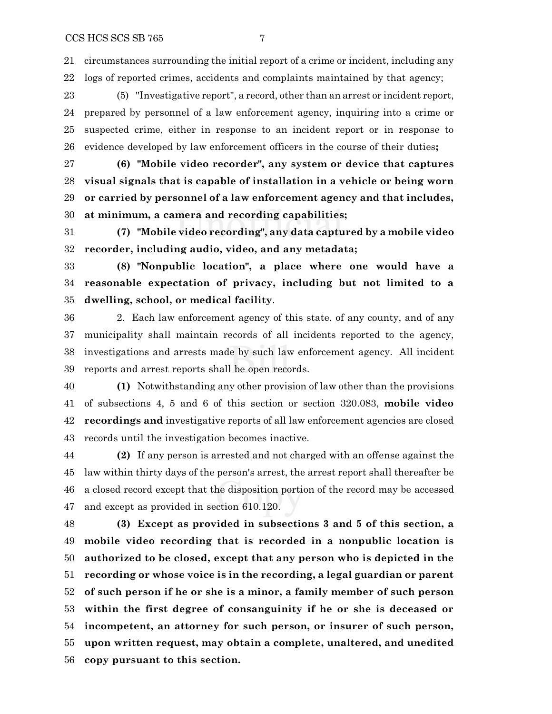circumstances surrounding the initial report of a crime or incident, including any logs of reported crimes, accidents and complaints maintained by that agency;

 (5) "Investigative report", a record, other than an arrest or incident report, prepared by personnel of a law enforcement agency, inquiring into a crime or suspected crime, either in response to an incident report or in response to evidence developed by law enforcement officers in the course of their duties**;**

 **(6) "Mobile video recorder", any system or device that captures visual signals that is capable of installation in a vehicle or being worn or carried by personnel of a law enforcement agency and that includes, at minimum, a camera and recording capabilities;**

 **(7) "Mobile video recording", any data captured by a mobile video recorder, including audio, video, and any metadata;**

 **(8) "Nonpublic location", a place where one would have a reasonable expectation of privacy, including but not limited to a dwelling, school, or medical facility**.

 2. Each law enforcement agency of this state, of any county, and of any municipality shall maintain records of all incidents reported to the agency, investigations and arrests made by such law enforcement agency. All incident reports and arrest reports shall be open records.

 **(1)** Notwithstanding any other provision of law other than the provisions of subsections 4, 5 and 6 of this section or section 320.083, **mobile video recordings and** investigative reports of all law enforcement agencies are closed records until the investigation becomes inactive.

 **(2)** If any person is arrested and not charged with an offense against the law within thirty days of the person's arrest, the arrest report shall thereafter be a closed record except that the disposition portion of the record may be accessed and except as provided in section 610.120.

 **(3) Except as provided in subsections 3 and 5 of this section, a mobile video recording that is recorded in a nonpublic location is authorized to be closed, except that any person who is depicted in the recording or whose voice is in the recording, a legal guardian or parent of such person if he or she is a minor, a family member of such person within the first degree of consanguinity if he or she is deceased or incompetent, an attorney for such person, or insurer of such person, upon written request, may obtain a complete, unaltered, and unedited copy pursuant to this section.**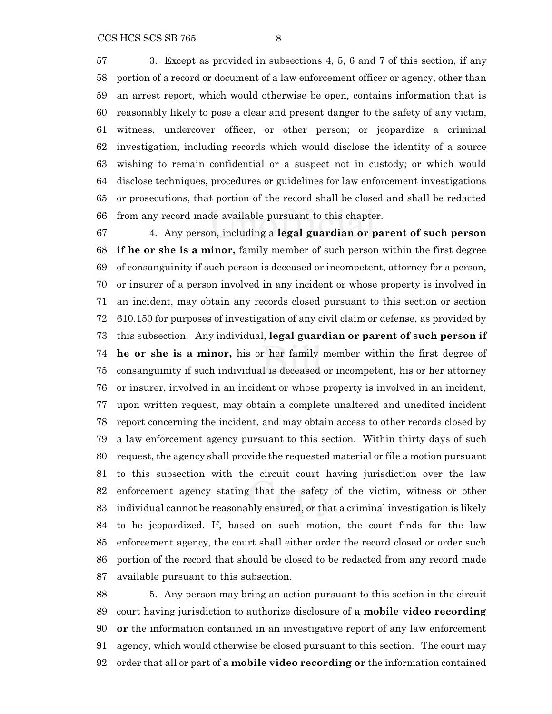3. Except as provided in subsections 4, 5, 6 and 7 of this section, if any portion of a record or document of a law enforcement officer or agency, other than an arrest report, which would otherwise be open, contains information that is reasonably likely to pose a clear and present danger to the safety of any victim, witness, undercover officer, or other person; or jeopardize a criminal investigation, including records which would disclose the identity of a source wishing to remain confidential or a suspect not in custody; or which would disclose techniques, procedures or guidelines for law enforcement investigations or prosecutions, that portion of the record shall be closed and shall be redacted from any record made available pursuant to this chapter.

 4. Any person, including a **legal guardian or parent of such person if he or she is a minor,** family member of such person within the first degree of consanguinity if such person is deceased or incompetent, attorney for a person, or insurer of a person involved in any incident or whose property is involved in an incident, may obtain any records closed pursuant to this section or section 610.150 for purposes of investigation of any civil claim or defense, as provided by this subsection. Any individual, **legal guardian or parent of such person if he or she is a minor,** his or her family member within the first degree of consanguinity if such individual is deceased or incompetent, his or her attorney or insurer, involved in an incident or whose property is involved in an incident, upon written request, may obtain a complete unaltered and unedited incident report concerning the incident, and may obtain access to other records closed by a law enforcement agency pursuant to this section. Within thirty days of such request, the agency shall provide the requested material or file a motion pursuant to this subsection with the circuit court having jurisdiction over the law enforcement agency stating that the safety of the victim, witness or other individual cannot be reasonably ensured, or that a criminal investigation is likely to be jeopardized. If, based on such motion, the court finds for the law enforcement agency, the court shall either order the record closed or order such portion of the record that should be closed to be redacted from any record made available pursuant to this subsection.

 5. Any person may bring an action pursuant to this section in the circuit court having jurisdiction to authorize disclosure of **a mobile video recording or** the information contained in an investigative report of any law enforcement agency, which would otherwise be closed pursuant to this section. The court may order that all or part of **a mobile video recording or** the information contained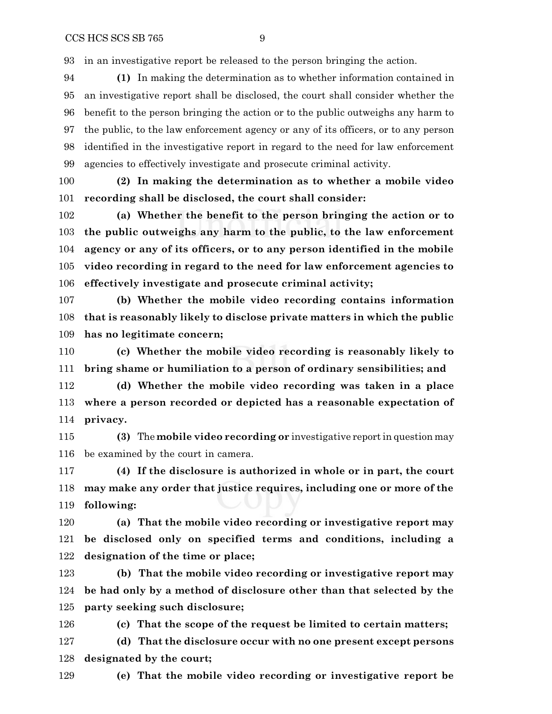in an investigative report be released to the person bringing the action.

 **(1)** In making the determination as to whether information contained in an investigative report shall be disclosed, the court shall consider whether the benefit to the person bringing the action or to the public outweighs any harm to the public, to the law enforcement agency or any of its officers, or to any person identified in the investigative report in regard to the need for law enforcement agencies to effectively investigate and prosecute criminal activity.

 **(2) In making the determination as to whether a mobile video recording shall be disclosed, the court shall consider:**

 **(a) Whether the benefit to the person bringing the action or to the public outweighs any harm to the public, to the law enforcement agency or any of its officers, or to any person identified in the mobile video recording in regard to the need for law enforcement agencies to effectively investigate and prosecute criminal activity;**

 **(b) Whether the mobile video recording contains information that is reasonably likely to disclose private matters in which the public has no legitimate concern;**

 **(c) Whether the mobile video recording is reasonably likely to bring shame or humiliation to a person of ordinary sensibilities; and**

 **(d) Whether the mobile video recording was taken in a place where a person recorded or depicted has a reasonable expectation of privacy.**

 **(3)** The **mobile video recording or** investigative report in question may be examined by the court in camera.

 **(4) If the disclosure is authorized in whole or in part, the court may make any order that justice requires, including one or more of the following:**

 **(a) That the mobile video recording or investigative report may be disclosed only on specified terms and conditions, including a designation of the time or place;**

 **(b) That the mobile video recording or investigative report may be had only by a method of disclosure other than that selected by the party seeking such disclosure;**

**(c) That the scope of the request be limited to certain matters;**

 **(d) That the disclosure occur with no one present except persons designated by the court;**

**(e) That the mobile video recording or investigative report be**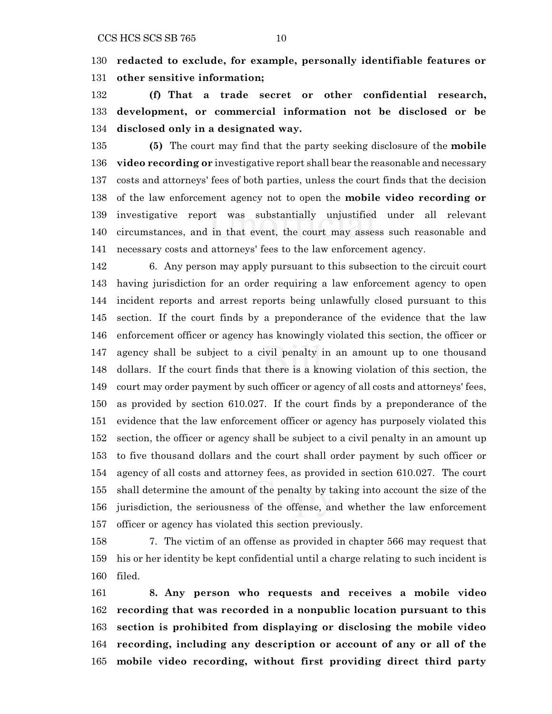**redacted to exclude, for example, personally identifiable features or other sensitive information;**

 **(f) That a trade secret or other confidential research, development, or commercial information not be disclosed or be disclosed only in a designated way.**

 **(5)** The court may find that the party seeking disclosure of the **mobile video recording or** investigative report shall bear the reasonable and necessary costs and attorneys' fees of both parties, unless the court finds that the decision of the law enforcement agency not to open the **mobile video recording or** investigative report was substantially unjustified under all relevant circumstances, and in that event, the court may assess such reasonable and necessary costs and attorneys' fees to the law enforcement agency.

 6. Any person may apply pursuant to this subsection to the circuit court having jurisdiction for an order requiring a law enforcement agency to open incident reports and arrest reports being unlawfully closed pursuant to this section. If the court finds by a preponderance of the evidence that the law enforcement officer or agency has knowingly violated this section, the officer or agency shall be subject to a civil penalty in an amount up to one thousand dollars. If the court finds that there is a knowing violation of this section, the court may order payment by such officer or agency of all costs and attorneys' fees, as provided by section 610.027. If the court finds by a preponderance of the evidence that the law enforcement officer or agency has purposely violated this section, the officer or agency shall be subject to a civil penalty in an amount up to five thousand dollars and the court shall order payment by such officer or agency of all costs and attorney fees, as provided in section 610.027. The court shall determine the amount of the penalty by taking into account the size of the jurisdiction, the seriousness of the offense, and whether the law enforcement officer or agency has violated this section previously.

 7. The victim of an offense as provided in chapter 566 may request that his or her identity be kept confidential until a charge relating to such incident is filed.

 **8. Any person who requests and receives a mobile video recording that was recorded in a nonpublic location pursuant to this section is prohibited from displaying or disclosing the mobile video recording, including any description or account of any or all of the mobile video recording, without first providing direct third party**